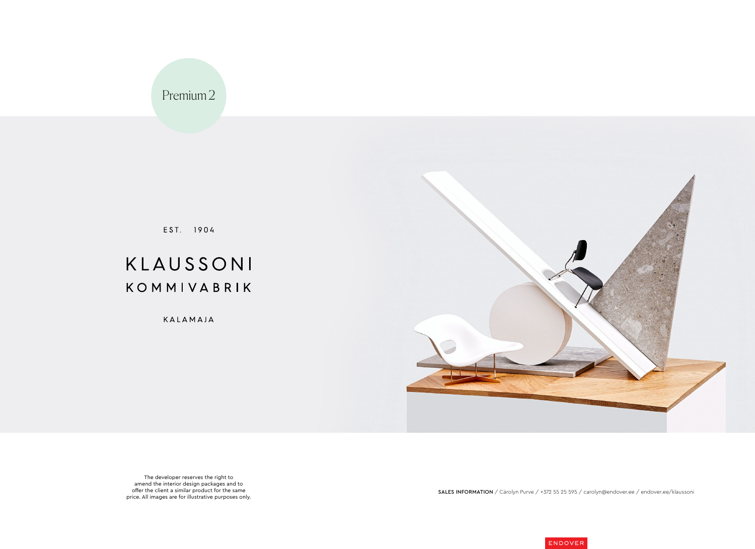The developer reserves the right to amend the interior design packages and to offer the client a similar product for the same price. All images are for illustrative purposes only.

SALES INFORMATION / Cärolyn Purve / +372 55 25 595 / carolyn@endover.ee / endover.ee/klaussoni





Premium 2

EST. 1904

# KLAUSSONI KOMMIVABRIK

KALAMAJA